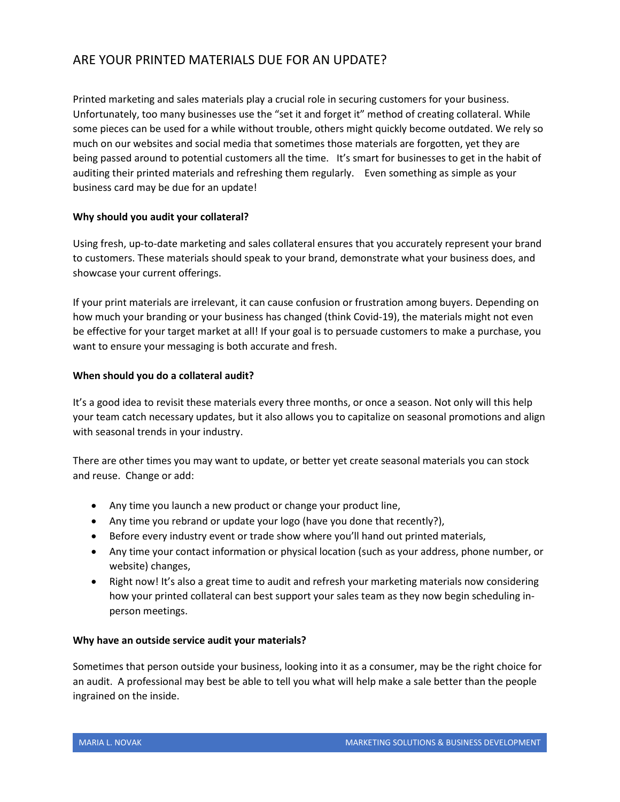# ARE YOUR PRINTED MATERIALS DUE FOR AN UPDATE?

Printed marketing and sales materials play a crucial role in securing customers for your business. Unfortunately, too many businesses use the "set it and forget it" method of creating collateral. While some pieces can be used for a while without trouble, others might quickly become outdated. We rely so much on our websites and social media that sometimes those materials are forgotten, yet they are being passed around to potential customers all the time. It's smart for businesses to get in the habit of auditing their printed materials and refreshing them regularly. Even something as simple as your business card may be due for an update!

## **Why should you audit your collateral?**

Using fresh, up-to-date marketing and sales collateral ensures that you accurately represent your brand to customers. These materials should speak to your brand, demonstrate what your business does, and showcase your current offerings.

If your print materials are irrelevant, it can cause confusion or frustration among buyers. Depending on how much your branding or your business has changed (think Covid-19), the materials might not even be effective for your target market at all! If your goal is to persuade customers to make a purchase, you want to ensure your messaging is both accurate and fresh.

## **When should you do a collateral audit?**

It's a good idea to revisit these materials every three months, or once a season. Not only will this help your team catch necessary updates, but it also allows you to capitalize on seasonal promotions and align with seasonal trends in your industry.

There are other times you may want to update, or better yet create seasonal materials you can stock and reuse. Change or add:

- Any time you launch a new product or change your product line,
- Any time you rebrand or update your logo (have you done that recently?),
- Before every industry event or trade show where you'll hand out printed materials,
- Any time your contact information or physical location (such as your address, phone number, or website) changes,
- Right now! It's also a great time to audit and refresh your marketing materials now considering how your printed collateral can best support your sales team as they now begin scheduling inperson meetings.

## **Why have an outside service audit your materials?**

Sometimes that person outside your business, looking into it as a consumer, may be the right choice for an audit. A professional may best be able to tell you what will help make a sale better than the people ingrained on the inside.